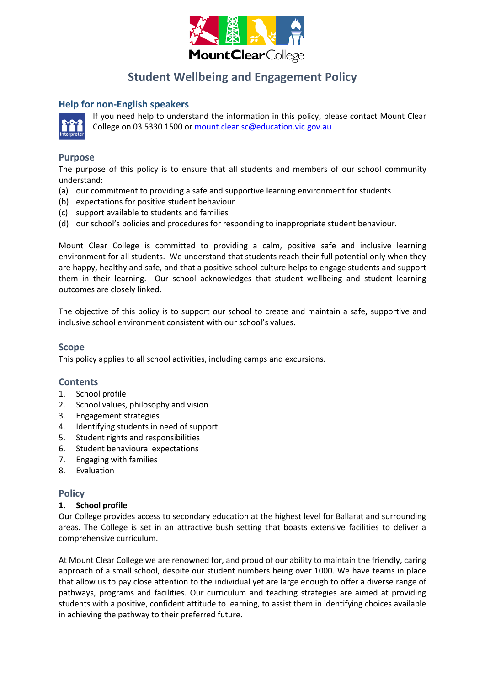

## **Student Wellbeing and Engagement Policy**

## **Help for non-English speakers**



If you need help to understand the information in this policy, please contact Mount Clear College on 03 5330 1500 o[r mount.clear.sc@education.vic.gov.au](mailto:mount.clear.sc@education.vic.gov.au)

#### **Purpose**

The purpose of this policy is to ensure that all students and members of our school community understand:

- (a) our commitment to providing a safe and supportive learning environment for students
- (b) expectations for positive student behaviour
- (c) support available to students and families
- (d) our school's policies and procedures for responding to inappropriate student behaviour.

Mount Clear College is committed to providing a calm, positive safe and inclusive learning environment for all students. We understand that students reach their full potential only when they are happy, healthy and safe, and that a positive school culture helps to engage students and support them in their learning. Our school acknowledges that student wellbeing and student learning outcomes are closely linked.

The objective of this policy is to support our school to create and maintain a safe, supportive and inclusive school environment consistent with our school's values.

#### **Scope**

This policy applies to all school activities, including camps and excursions.

## **Contents**

- 1. School profile
- 2. School values, philosophy and vision
- 3. Engagement strategies
- 4. Identifying students in need of support
- 5. Student rights and responsibilities
- 6. Student behavioural expectations
- 7. Engaging with families
- 8. Evaluation

## **Policy**

#### **1. School profile**

Our College provides access to secondary education at the highest level for Ballarat and surrounding areas. The College is set in an attractive bush setting that boasts extensive facilities to deliver a comprehensive curriculum.

At Mount Clear College we are renowned for, and proud of our ability to maintain the friendly, caring approach of a small school, despite our student numbers being over 1000. We have teams in place that allow us to pay close attention to the individual yet are large enough to offer a diverse range of pathways, programs and facilities. Our curriculum and teaching strategies are aimed at providing students with a positive, confident attitude to learning, to assist them in identifying choices available in achieving the pathway to their preferred future.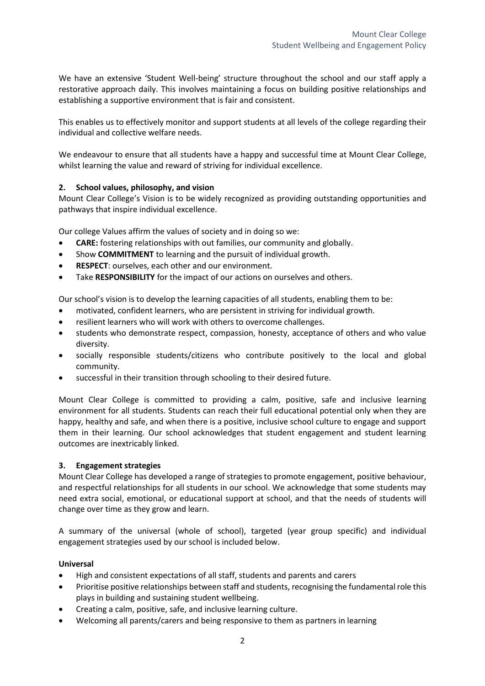We have an extensive 'Student Well-being' structure throughout the school and our staff apply a restorative approach daily. This involves maintaining a focus on building positive relationships and establishing a supportive environment that is fair and consistent.

This enables us to effectively monitor and support students at all levels of the college regarding their individual and collective welfare needs.

We endeavour to ensure that all students have a happy and successful time at Mount Clear College, whilst learning the value and reward of striving for individual excellence.

## **2. School values, philosophy, and vision**

Mount Clear College's Vision is to be widely recognized as providing outstanding opportunities and pathways that inspire individual excellence.

Our college Values affirm the values of society and in doing so we:

- **CARE:** fostering relationships with out families, our community and globally.
- Show **COMMITMENT** to learning and the pursuit of individual growth.
- **RESPECT**: ourselves, each other and our environment.
- Take **RESPONSIBILITY** for the impact of our actions on ourselves and others.

Our school's vision is to develop the learning capacities of all students, enabling them to be:

- motivated, confident learners, who are persistent in striving for individual growth.
- resilient learners who will work with others to overcome challenges.
- students who demonstrate respect, compassion, honesty, acceptance of others and who value diversity.
- socially responsible students/citizens who contribute positively to the local and global community.
- successful in their transition through schooling to their desired future.

Mount Clear College is committed to providing a calm, positive, safe and inclusive learning environment for all students. Students can reach their full educational potential only when they are happy, healthy and safe, and when there is a positive, inclusive school culture to engage and support them in their learning. Our school acknowledges that student engagement and student learning outcomes are inextricably linked.

#### **3. Engagement strategies**

Mount Clear College has developed a range of strategies to promote engagement, positive behaviour, and respectful relationships for all students in our school. We acknowledge that some students may need extra social, emotional, or educational support at school, and that the needs of students will change over time as they grow and learn.

A summary of the universal (whole of school), targeted (year group specific) and individual engagement strategies used by our school is included below.

#### **Universal**

- High and consistent expectations of all staff, students and parents and carers
- Prioritise positive relationships between staff and students, recognising the fundamental role this plays in building and sustaining student wellbeing.
- Creating a calm, positive, safe, and inclusive learning culture.
- Welcoming all parents/carers and being responsive to them as partners in learning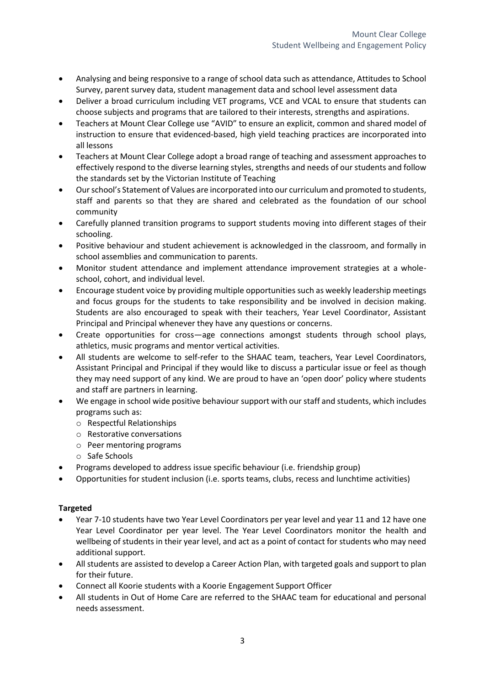- Analysing and being responsive to a range of school data such as attendance, Attitudes to School Survey, parent survey data, student management data and school level assessment data
- Deliver a broad curriculum including VET programs, VCE and VCAL to ensure that students can choose subjects and programs that are tailored to their interests, strengths and aspirations.
- Teachers at Mount Clear College use "AVID" to ensure an explicit, common and shared model of instruction to ensure that evidenced-based, high yield teaching practices are incorporated into all lessons
- Teachers at Mount Clear College adopt a broad range of teaching and assessment approaches to effectively respond to the diverse learning styles, strengths and needs of our students and follow the standards set by the Victorian Institute of Teaching
- Our school's Statement of Values are incorporated into our curriculum and promoted to students, staff and parents so that they are shared and celebrated as the foundation of our school community
- Carefully planned transition programs to support students moving into different stages of their schooling.
- Positive behaviour and student achievement is acknowledged in the classroom, and formally in school assemblies and communication to parents.
- Monitor student attendance and implement attendance improvement strategies at a wholeschool, cohort, and individual level.
- Encourage student voice by providing multiple opportunities such as weekly leadership meetings and focus groups for the students to take responsibility and be involved in decision making. Students are also encouraged to speak with their teachers, Year Level Coordinator, Assistant Principal and Principal whenever they have any questions or concerns.
- Create opportunities for cross—age connections amongst students through school plays, athletics, music programs and mentor vertical activities.
- All students are welcome to self-refer to the SHAAC team, teachers, Year Level Coordinators, Assistant Principal and Principal if they would like to discuss a particular issue or feel as though they may need support of any kind. We are proud to have an 'open door' policy where students and staff are partners in learning.
- We engage in school wide positive behaviour support with our staff and students, which includes programs such as:
	- o Respectful Relationships
	- o Restorative conversations
	- o Peer mentoring programs
	- o Safe Schools
- Programs developed to address issue specific behaviour (i.e. friendship group)
- Opportunities for student inclusion (i.e. sports teams, clubs, recess and lunchtime activities)

## **Targeted**

- Year 7-10 students have two Year Level Coordinators per year level and year 11 and 12 have one Year Level Coordinator per year level. The Year Level Coordinators monitor the health and wellbeing of students in their year level, and act as a point of contact for students who may need additional support.
- All students are assisted to develop a Career Action Plan, with targeted goals and support to plan for their future.
- Connect all Koorie students with a Koorie Engagement Support Officer
- All students in Out of Home Care are referred to the SHAAC team for educational and personal needs assessment.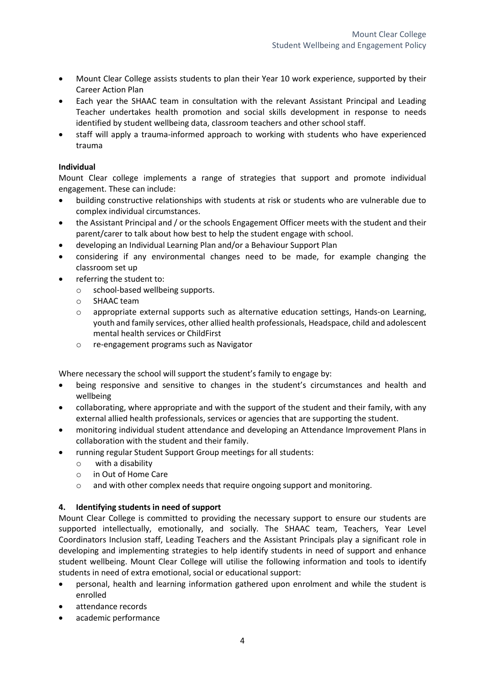- Mount Clear College assists students to plan their Year 10 work experience, supported by their Career Action Plan
- Each year the SHAAC team in consultation with the relevant Assistant Principal and Leading Teacher undertakes health promotion and social skills development in response to needs identified by student wellbeing data, classroom teachers and other school staff.
- staff will apply a trauma-informed approach to working with students who have experienced trauma

#### **Individual**

Mount Clear college implements a range of strategies that support and promote individual engagement. These can include:

- building constructive relationships with students at risk or students who are vulnerable due to complex individual circumstances.
- the Assistant Principal and / or the schools Engagement Officer meets with the student and their parent/carer to talk about how best to help the student engage with school.
- developing an Individual Learning Plan and/or a Behaviour Support Plan
- considering if any environmental changes need to be made, for example changing the classroom set up
- referring the student to:
	- o school-based wellbeing supports.
	- o SHAAC team
	- o appropriate external supports such as alternative education settings, Hands-on Learning, youth and family services, other allied health professionals, Headspace, child and adolescent mental health services or ChildFirst
	- re-engagement programs such as Navigator

Where necessary the school will support the student's family to engage by:

- being responsive and sensitive to changes in the student's circumstances and health and wellbeing
- collaborating, where appropriate and with the support of the student and their family, with any external allied health professionals, services or agencies that are supporting the student.
- monitoring individual student attendance and developing an Attendance Improvement Plans in collaboration with the student and their family.
- running regular Student Support Group meetings for all students:
	- o with a disability
	- o in Out of Home Care
	- o and with other complex needs that require ongoing support and monitoring.

#### **4. Identifying students in need of support**

Mount Clear College is committed to providing the necessary support to ensure our students are supported intellectually, emotionally, and socially. The SHAAC team, Teachers, Year Level Coordinators Inclusion staff, Leading Teachers and the Assistant Principals play a significant role in developing and implementing strategies to help identify students in need of support and enhance student wellbeing. Mount Clear College will utilise the following information and tools to identify students in need of extra emotional, social or educational support:

- personal, health and learning information gathered upon enrolment and while the student is enrolled
- attendance records
- academic performance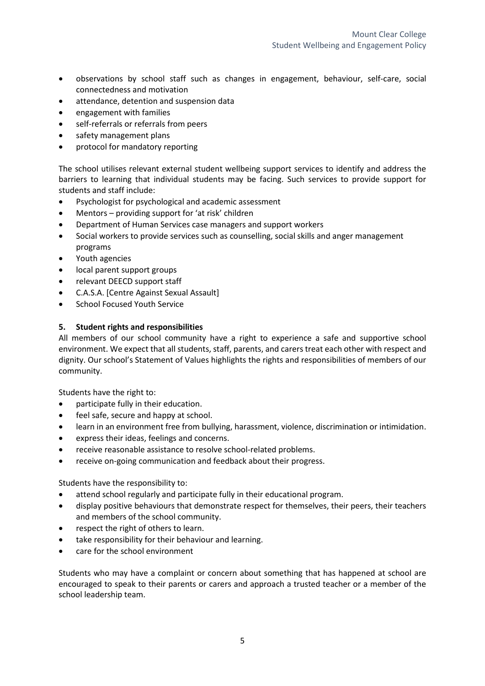- observations by school staff such as changes in engagement, behaviour, self-care, social connectedness and motivation
- attendance, detention and suspension data
- engagement with families
- self-referrals or referrals from peers
- safety management plans
- protocol for mandatory reporting

The school utilises relevant external student wellbeing support services to identify and address the barriers to learning that individual students may be facing. Such services to provide support for students and staff include:

- Psychologist for psychological and academic assessment
- Mentors providing support for 'at risk' children
- Department of Human Services case managers and support workers
- Social workers to provide services such as counselling, social skills and anger management programs
- Youth agencies
- local parent support groups
- relevant DEECD support staff
- C.A.S.A. [Centre Against Sexual Assault]
- School Focused Youth Service

## **5. Student rights and responsibilities**

All members of our school community have a right to experience a safe and supportive school environment. We expect that all students, staff, parents, and carers treat each other with respect and dignity. Our school's Statement of Values highlights the rights and responsibilities of members of our community.

Students have the right to:

- participate fully in their education.
- feel safe, secure and happy at school.
- learn in an environment free from bullying, harassment, violence, discrimination or intimidation.
- express their ideas, feelings and concerns.
- receive reasonable assistance to resolve school-related problems.
- receive on-going communication and feedback about their progress.

Students have the responsibility to:

- attend school regularly and participate fully in their educational program.
- display positive behaviours that demonstrate respect for themselves, their peers, their teachers and members of the school community.
- respect the right of others to learn.
- take responsibility for their behaviour and learning.
- care for the school environment

Students who may have a complaint or concern about something that has happened at school are encouraged to speak to their parents or carers and approach a trusted teacher or a member of the school leadership team.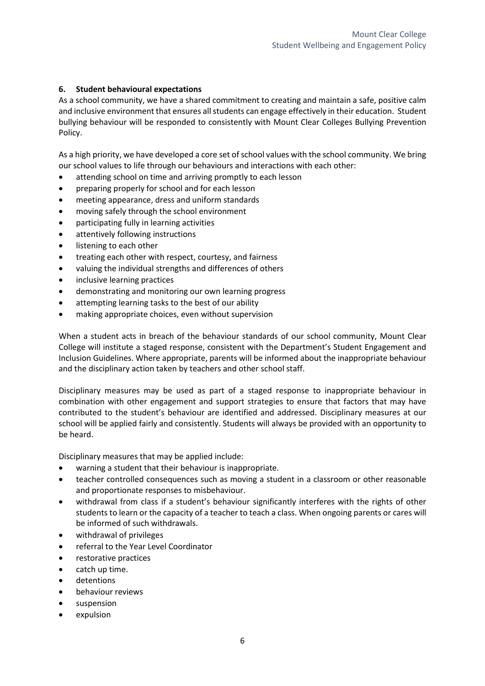## **6. Student behavioural expectations**

As a school community, we have a shared commitment to creating and maintain a safe, positive calm and inclusive environment that ensures all students can engage effectively in their education. Student bullying behaviour will be responded to consistently with Mount Clear Colleges Bullying Prevention Policy.

As a high priority, we have developed a core set of school values with the school community. We bring our school values to life through our behaviours and interactions with each other:

- attending school on time and arriving promptly to each lesson
- preparing properly for school and for each lesson
- meeting appearance, dress and uniform standards
- moving safely through the school environment
- participating fully in learning activities
- attentively following instructions
- listening to each other
- treating each other with respect, courtesy, and fairness
- valuing the individual strengths and differences of others
- inclusive learning practices
- demonstrating and monitoring our own learning progress
- attempting learning tasks to the best of our ability
- making appropriate choices, even without supervision

When a student acts in breach of the behaviour standards of our school community, Mount Clear College will institute a staged response, consistent with the Department's Student Engagement and Inclusion Guidelines. Where appropriate, parents will be informed about the inappropriate behaviour and the disciplinary action taken by teachers and other school staff.

Disciplinary measures may be used as part of a staged response to inappropriate behaviour in combination with other engagement and support strategies to ensure that factors that may have contributed to the student's behaviour are identified and addressed. Disciplinary measures at our school will be applied fairly and consistently. Students will always be provided with an opportunity to be heard.

Disciplinary measures that may be applied include:

- warning a student that their behaviour is inappropriate.
- teacher controlled consequences such as moving a student in a classroom or other reasonable and proportionate responses to misbehaviour.
- withdrawal from class if a student's behaviour significantly interferes with the rights of other students to learn or the capacity of a teacher to teach a class. When ongoing parents or cares will be informed of such withdrawals.
- withdrawal of privileges
- referral to the Year Level Coordinator
- restorative practices
- catch up time.
- detentions
- behaviour reviews
- suspension
- expulsion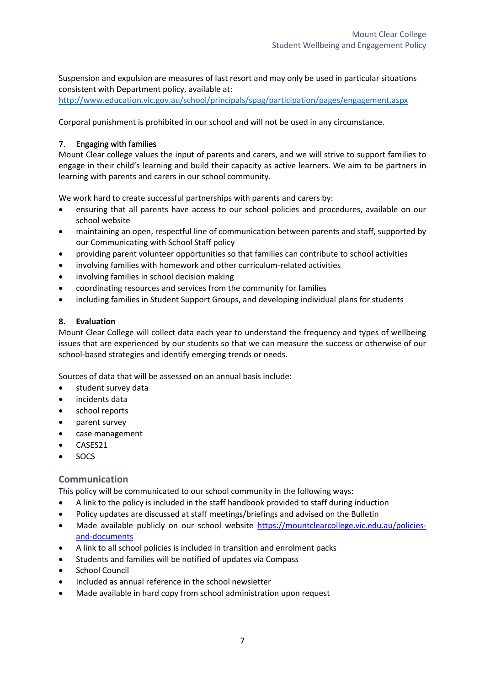Suspension and expulsion are measures of last resort and may only be used in particular situations consistent with Department policy, available at:

<http://www.education.vic.gov.au/school/principals/spag/participation/pages/engagement.aspx>

Corporal punishment is prohibited in our school and will not be used in any circumstance.

## 7. Engaging with families

Mount Clear college values the input of parents and carers, and we will strive to support families to engage in their child's learning and build their capacity as active learners. We aim to be partners in learning with parents and carers in our school community.

We work hard to create successful partnerships with parents and carers by:

- ensuring that all parents have access to our school policies and procedures, available on our school website
- maintaining an open, respectful line of communication between parents and staff, supported by our Communicating with School Staff policy
- providing parent volunteer opportunities so that families can contribute to school activities
- involving families with homework and other curriculum-related activities
- involving families in school decision making
- coordinating resources and services from the community for families
- including families in Student Support Groups, and developing individual plans for students

## **8. Evaluation**

Mount Clear College will collect data each year to understand the frequency and types of wellbeing issues that are experienced by our students so that we can measure the success or otherwise of our school-based strategies and identify emerging trends or needs.

Sources of data that will be assessed on an annual basis include:

- student survey data
- incidents data
- school reports
- parent survey
- case management
- CASES21
- SOCS

## **Communication**

This policy will be communicated to our school community in the following ways:

- A link to the policy is included in the staff handbook provided to staff during induction
- Policy updates are discussed at staff meetings/briefings and advised on the Bulletin
- Made available publicly on our school website [https://mountclearcollege.vic.edu.au/policies](https://mountclearcollege.vic.edu.au/policies-and-documents)[and-documents](https://mountclearcollege.vic.edu.au/policies-and-documents)
- A link to all school policies is included in transition and enrolment packs
- Students and families will be notified of updates via Compass
- School Council
- Included as annual reference in the school newsletter
- Made available in hard copy from school administration upon request